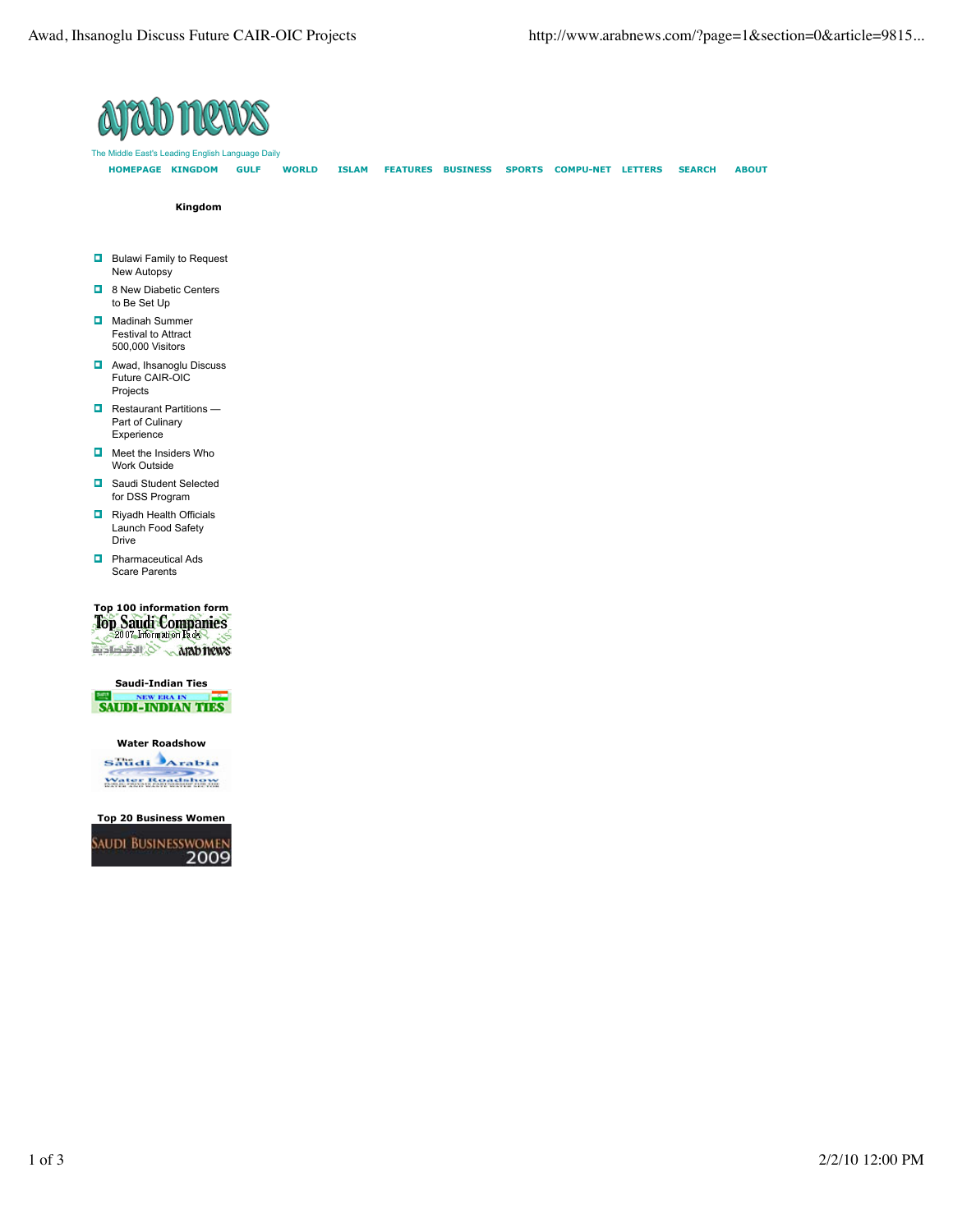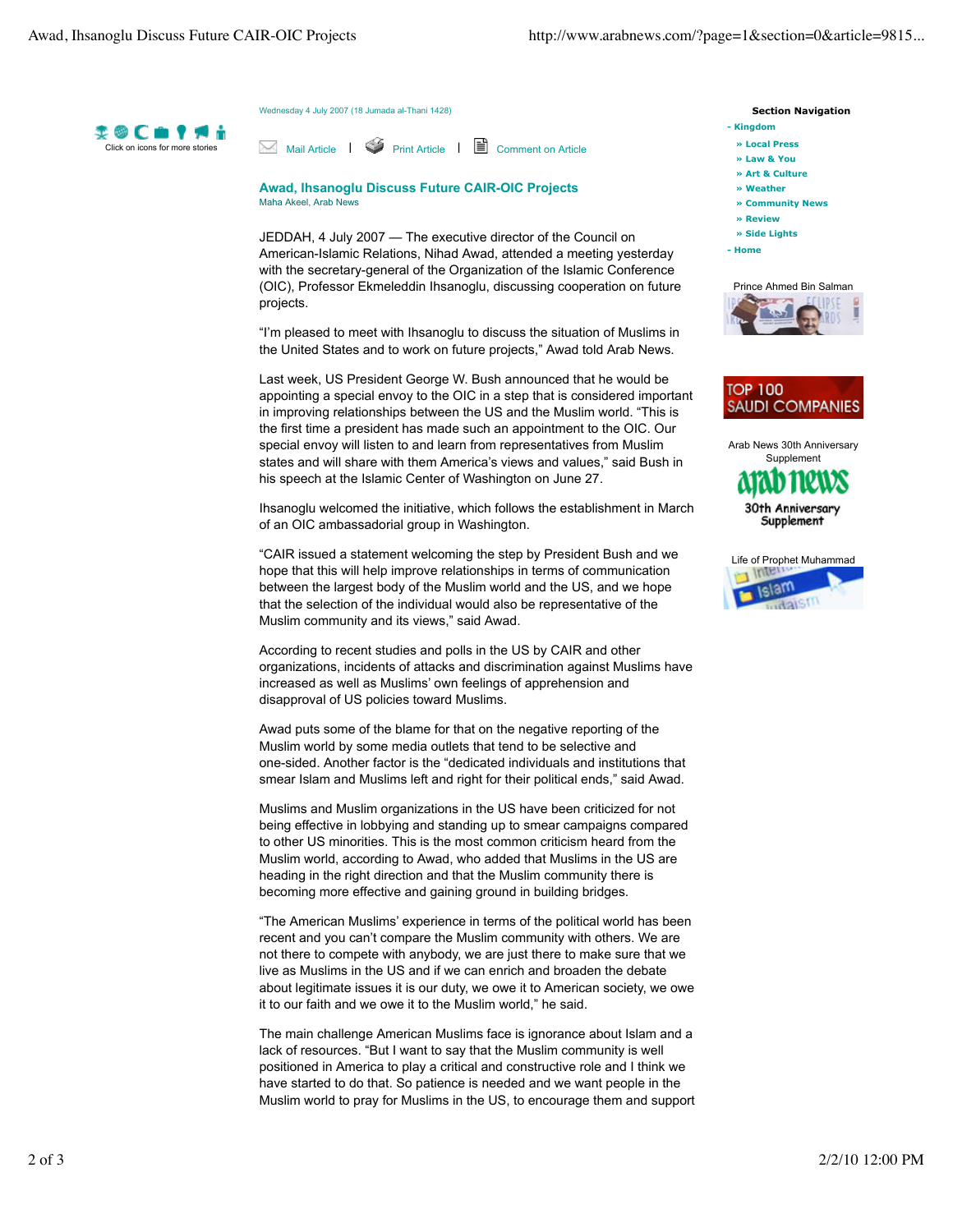Wednesday 4 July 2007 (18 Jumada al-Thani 1428)



Mail Article | Print Article | Comment on Article

**Awad, Ihsanoglu Discuss Future CAIR-OIC Projects** Maha Akeel, Arab News

JEDDAH, 4 July 2007 — The executive director of the Council on American-Islamic Relations, Nihad Awad, attended a meeting yesterday with the secretary-general of the Organization of the Islamic Conference (OIC), Professor Ekmeleddin Ihsanoglu, discussing cooperation on future projects.

"I'm pleased to meet with Ihsanoglu to discuss the situation of Muslims in the United States and to work on future projects," Awad told Arab News.

Last week, US President George W. Bush announced that he would be appointing a special envoy to the OIC in a step that is considered important in improving relationships between the US and the Muslim world. "This is the first time a president has made such an appointment to the OIC. Our special envoy will listen to and learn from representatives from Muslim states and will share with them America's views and values," said Bush in his speech at the Islamic Center of Washington on June 27.

Ihsanoglu welcomed the initiative, which follows the establishment in March of an OIC ambassadorial group in Washington.

"CAIR issued a statement welcoming the step by President Bush and we hope that this will help improve relationships in terms of communication between the largest body of the Muslim world and the US, and we hope that the selection of the individual would also be representative of the Muslim community and its views," said Awad.

According to recent studies and polls in the US by CAIR and other organizations, incidents of attacks and discrimination against Muslims have increased as well as Muslims' own feelings of apprehension and disapproval of US policies toward Muslims.

Awad puts some of the blame for that on the negative reporting of the Muslim world by some media outlets that tend to be selective and one-sided. Another factor is the "dedicated individuals and institutions that smear Islam and Muslims left and right for their political ends," said Awad.

Muslims and Muslim organizations in the US have been criticized for not being effective in lobbying and standing up to smear campaigns compared to other US minorities. This is the most common criticism heard from the Muslim world, according to Awad, who added that Muslims in the US are heading in the right direction and that the Muslim community there is becoming more effective and gaining ground in building bridges.

"The American Muslims' experience in terms of the political world has been recent and you can't compare the Muslim community with others. We are not there to compete with anybody, we are just there to make sure that we live as Muslims in the US and if we can enrich and broaden the debate about legitimate issues it is our duty, we owe it to American society, we owe it to our faith and we owe it to the Muslim world," he said.

The main challenge American Muslims face is ignorance about Islam and a lack of resources. "But I want to say that the Muslim community is well positioned in America to play a critical and constructive role and I think we have started to do that. So patience is needed and we want people in the Muslim world to pray for Muslims in the US, to encourage them and support  **Section Navigation** 

- **» Local Press - Kingdom**
- 
- **» Law & You**
- **» Art & Culture**
- **» Weather**
- **» Community News**
- **» Review**
- **» Side Lights**
- **Home**





Arab News 30th Anniversary **Supplement** 



30th Anniversai Supplement